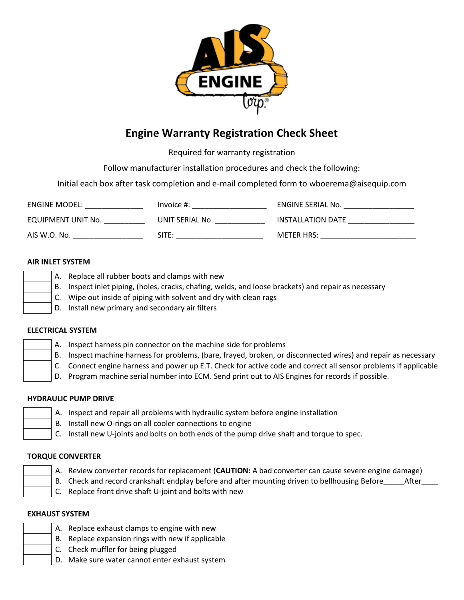

# **Engine Warranty Registration Check Sheet**

Required for warranty registration

Follow manufacturer installation procedures and check the following:

Initial each box after task completion and e-mail completed form to wboerema@aisequip.com

| ENGINE MODEL:      | Invoice #:      | ENGINE SERIAL No. |
|--------------------|-----------------|-------------------|
| EQUIPMENT UNIT No. | UNIT SERIAL No. | INSTALLATION DATE |
| AIS W.O. No.       | SITE:           | <b>METER HRS:</b> |

## **AIR INLET SYSTEM**

| A. | Replace all rubber boots and clamps with new                                                         |
|----|------------------------------------------------------------------------------------------------------|
|    | B. Inspect inlet piping, (holes, cracks, chafing, welds, and loose brackets) and repair as necessary |
|    | $\mathsf{C}$ . Wipe out inside of piping with solvent and dry with clean rags                        |
|    | D. Install new primary and secondary air filters                                                     |
|    |                                                                                                      |

## **ELECTRICAL SYSTEM**

|  |  | A. Inspect harness pin connector on the machine side for problems |  |  |  |  |
|--|--|-------------------------------------------------------------------|--|--|--|--|
|--|--|-------------------------------------------------------------------|--|--|--|--|

- B. Inspect machine harness for problems, (bare, frayed, broken, or disconnected wires) and repair as necessary
- C. Connect engine harness and power up E.T. Check for active code and correct all sensor problems if applicable
- D. Program machine serial number into ECM. Send print out to AIS Engines for records if possible.

# **HYDRAULIC PUMP DRIVE**

- A. Inspect and repair all problems with hydraulic system before engine installation
- B. Install new O-rings on all cooler connections to engine
- C. Install new U-joints and bolts on both ends of the pump drive shaft and torque to spec.

## **TORQUE CONVERTER**

| I |  |
|---|--|
|   |  |

- A. Review converter records for replacement (**CAUTION:** A bad converter can cause severe engine damage)
- B. Check and record crankshaft endplay before and after mounting driven to bellhousing Before after
- C. Replace front drive shaft U-joint and bolts with new

## **EXHAUST SYSTEM**

| Е |
|---|
|   |
| ľ |

- A. Replace exhaust clamps to engine with new
- B. Replace expansion rings with new if applicable
- C. Check muffler for being plugged
- D. Make sure water cannot enter exhaust system